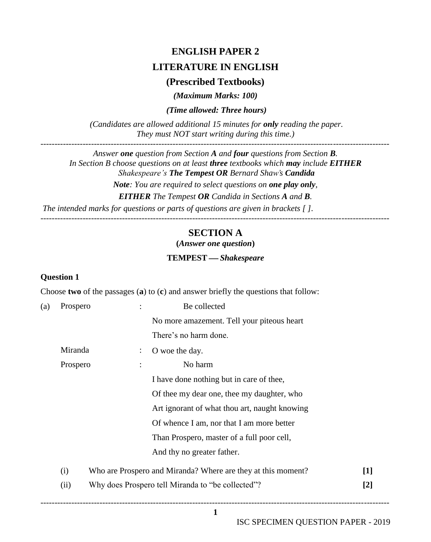# **ENGLISH PAPER 2 LITERATURE IN ENGLISH**

# **(Prescribed Textbooks)**

*(Maximum Marks: 100)*

*(Time allowed: Three hours)* 

*(Candidates are allowed additional 15 minutes for only reading the paper. They must NOT start writing during this time.)*

*Answer one question from Section A and four questions from Section B. In Section B choose questions on at least three textbooks which may include EITHER Shakespeare's The Tempest OR Bernard Shaw's Candida*

*Note: You are required to select questions on one play only, EITHER The Tempest OR Candida in Sections A and B. The intended marks for questions or parts of questions are given in brackets [ ].*

----------------------------------------------------------------------------------------------------------------------------

# **SECTION A**

**(***Answer one question***)**

#### **TEMPEST** *Shakespeare*

#### **Question 1**

Choose **two** of the passages (**a**) to (**c**) and answer briefly the questions that follow:

| (a) | Prospero                                 |                | Be collected                                                                      |     |  |  |  |  |  |
|-----|------------------------------------------|----------------|-----------------------------------------------------------------------------------|-----|--|--|--|--|--|
|     |                                          |                | No more amazement. Tell your piteous heart                                        |     |  |  |  |  |  |
|     |                                          |                | There's no harm done.                                                             |     |  |  |  |  |  |
|     | Miranda                                  | $\ddot{\cdot}$ | O woe the day.                                                                    |     |  |  |  |  |  |
|     | Prospero                                 |                | No harm                                                                           |     |  |  |  |  |  |
|     | I have done nothing but in care of thee, |                |                                                                                   |     |  |  |  |  |  |
|     |                                          |                | Of thee my dear one, thee my daughter, who                                        |     |  |  |  |  |  |
|     |                                          |                | Art ignorant of what thou art, naught knowing                                     |     |  |  |  |  |  |
|     |                                          |                | Of whence I am, nor that I am more better                                         |     |  |  |  |  |  |
|     |                                          |                | Than Prospero, master of a full poor cell,                                        |     |  |  |  |  |  |
|     |                                          |                |                                                                                   |     |  |  |  |  |  |
|     | (i)                                      |                | Who are Prospero and Miranda? Where are they at this moment?<br>$\lceil 1 \rceil$ |     |  |  |  |  |  |
|     | (ii)                                     |                | Why does Prospero tell Miranda to "be collected"?                                 | [2] |  |  |  |  |  |
|     |                                          |                |                                                                                   |     |  |  |  |  |  |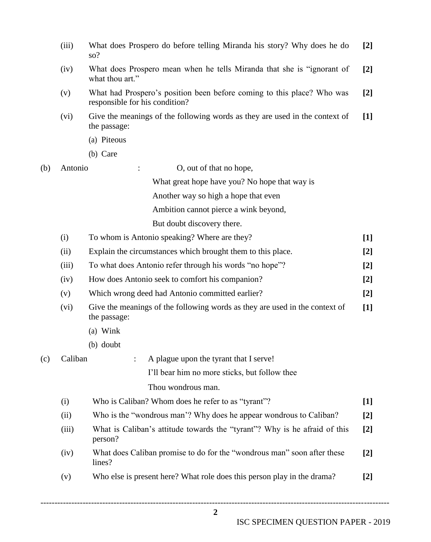|     | (iii)   | What does Prospero do before telling Miranda his story? Why does he do<br>so?                            | $[2]$ |  |  |  |  |  |  |  |
|-----|---------|----------------------------------------------------------------------------------------------------------|-------|--|--|--|--|--|--|--|
|     | (iv)    | What does Prospero mean when he tells Miranda that she is "ignorant of<br>$[2]$<br>what thou art."       |       |  |  |  |  |  |  |  |
|     | (v)     | What had Prospero's position been before coming to this place? Who was<br>responsible for his condition? | $[2]$ |  |  |  |  |  |  |  |
|     | (vi)    | Give the meanings of the following words as they are used in the context of<br>the passage:              | $[1]$ |  |  |  |  |  |  |  |
|     |         | (a) Piteous                                                                                              |       |  |  |  |  |  |  |  |
|     |         | (b) Care                                                                                                 |       |  |  |  |  |  |  |  |
| (b) | Antonio | O, out of that no hope,                                                                                  |       |  |  |  |  |  |  |  |
|     |         | What great hope have you? No hope that way is                                                            |       |  |  |  |  |  |  |  |
|     |         | Another way so high a hope that even                                                                     |       |  |  |  |  |  |  |  |
|     |         | Ambition cannot pierce a wink beyond,                                                                    |       |  |  |  |  |  |  |  |
|     |         | But doubt discovery there.                                                                               |       |  |  |  |  |  |  |  |
|     | (i)     | To whom is Antonio speaking? Where are they?                                                             | $[1]$ |  |  |  |  |  |  |  |
|     | (ii)    | Explain the circumstances which brought them to this place.                                              | $[2]$ |  |  |  |  |  |  |  |
|     | (iii)   | To what does Antonio refer through his words "no hope"?                                                  | $[2]$ |  |  |  |  |  |  |  |
|     | (iv)    | How does Antonio seek to comfort his companion?                                                          | $[2]$ |  |  |  |  |  |  |  |
|     | (v)     | Which wrong deed had Antonio committed earlier?                                                          | $[2]$ |  |  |  |  |  |  |  |
|     | (vi)    | Give the meanings of the following words as they are used in the context of<br>the passage:              | $[1]$ |  |  |  |  |  |  |  |
|     |         | (a) Wink                                                                                                 |       |  |  |  |  |  |  |  |
|     |         | (b) doubt                                                                                                |       |  |  |  |  |  |  |  |
| (c) | Caliban | A plague upon the tyrant that I serve!<br>$\ddot{\cdot}$                                                 |       |  |  |  |  |  |  |  |
|     |         | I'll bear him no more sticks, but follow thee                                                            |       |  |  |  |  |  |  |  |
|     |         | Thou wondrous man.                                                                                       |       |  |  |  |  |  |  |  |
|     | (i)     | Who is Caliban? Whom does he refer to as "tyrant"?                                                       | $[1]$ |  |  |  |  |  |  |  |
|     | (ii)    | Who is the "wondrous man"? Why does he appear wondrous to Caliban?                                       | $[2]$ |  |  |  |  |  |  |  |
|     | (iii)   | What is Caliban's attitude towards the "tyrant"? Why is he afraid of this<br>person?                     | $[2]$ |  |  |  |  |  |  |  |
|     | (iv)    | What does Caliban promise to do for the "wondrous man" soon after these<br>lines?                        | $[2]$ |  |  |  |  |  |  |  |
|     | (v)     | Who else is present here? What role does this person play in the drama?                                  | $[2]$ |  |  |  |  |  |  |  |

ISC SPECIMEN QUESTION PAPER - 2019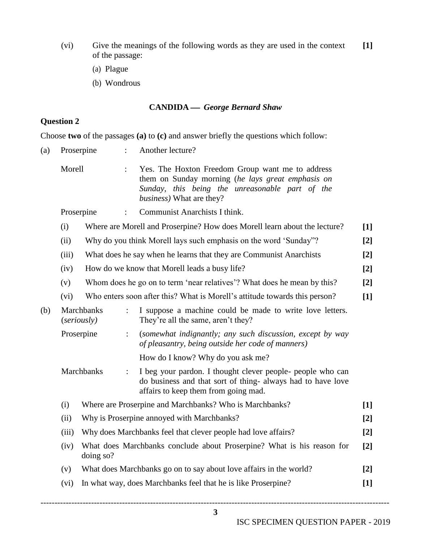- (vi) Give the meanings of the following words as they are used in the context of the passage: **[1]**
	- (a) Plague
	- (b) Wondrous

## **CANDIDA** *George Bernard Shaw*

# **Question 2**

Choose **two** of the passages **(a)** to **(c)** and answer briefly the questions which follow:

| (a) | Proserpine |                                                                                                | $\ddot{\cdot}$                                                                                                                                                                       | Another lecture?                                                                                                                                                  |       |  |  |  |  |  |
|-----|------------|------------------------------------------------------------------------------------------------|--------------------------------------------------------------------------------------------------------------------------------------------------------------------------------------|-------------------------------------------------------------------------------------------------------------------------------------------------------------------|-------|--|--|--|--|--|
|     | Morell     |                                                                                                | Yes. The Hoxton Freedom Group want me to address<br>them on Sunday morning (he lays great emphasis on<br>Sunday, this being the unreasonable part of the<br>business) What are they? |                                                                                                                                                                   |       |  |  |  |  |  |
|     | Proserpine |                                                                                                |                                                                                                                                                                                      | Communist Anarchists I think.                                                                                                                                     |       |  |  |  |  |  |
|     | (i)        | Where are Morell and Proserpine? How does Morell learn about the lecture?<br>$\lceil 1 \rceil$ |                                                                                                                                                                                      |                                                                                                                                                                   |       |  |  |  |  |  |
|     | (ii)       |                                                                                                | Why do you think Morell lays such emphasis on the word 'Sunday"?<br>$[2]$                                                                                                            |                                                                                                                                                                   |       |  |  |  |  |  |
|     | (iii)      |                                                                                                |                                                                                                                                                                                      | What does he say when he learns that they are Communist Anarchists                                                                                                | $[2]$ |  |  |  |  |  |
|     | (iv)       |                                                                                                |                                                                                                                                                                                      | How do we know that Morell leads a busy life?                                                                                                                     | $[2]$ |  |  |  |  |  |
|     | (v)        |                                                                                                |                                                                                                                                                                                      | Whom does he go on to term 'near relatives'? What does he mean by this?                                                                                           | $[2]$ |  |  |  |  |  |
|     | (vi)       | Who enters soon after this? What is Morell's attitude towards this person?<br>$[1]$            |                                                                                                                                                                                      |                                                                                                                                                                   |       |  |  |  |  |  |
| (b) |            | <b>Marchbanks</b><br>(seriously)                                                               | $\ddot{\cdot}$                                                                                                                                                                       | I suppose a machine could be made to write love letters.<br>They're all the same, aren't they?                                                                    |       |  |  |  |  |  |
|     |            | Proserpine                                                                                     | $\ddot{\cdot}$                                                                                                                                                                       | (somewhat indignantly; any such discussion, except by way<br>of pleasantry, being outside her code of manners)                                                    |       |  |  |  |  |  |
|     |            |                                                                                                |                                                                                                                                                                                      | How do I know? Why do you ask me?                                                                                                                                 |       |  |  |  |  |  |
|     |            | Marchbanks                                                                                     | $\ddot{\cdot}$                                                                                                                                                                       | I beg your pardon. I thought clever people- people who can<br>do business and that sort of thing- always had to have love<br>affairs to keep them from going mad. |       |  |  |  |  |  |
|     | (i)        | Where are Proserpine and Marchbanks? Who is Marchbanks?                                        |                                                                                                                                                                                      |                                                                                                                                                                   |       |  |  |  |  |  |
|     | (ii)       | Why is Proserpine annoyed with Marchbanks?<br>$[2]$                                            |                                                                                                                                                                                      |                                                                                                                                                                   |       |  |  |  |  |  |
|     | (iii)      | Why does Marchbanks feel that clever people had love affairs?<br>$[2]$                         |                                                                                                                                                                                      |                                                                                                                                                                   |       |  |  |  |  |  |
|     | (iv)       | What does Marchbanks conclude about Proserpine? What is his reason for<br>doing so?            |                                                                                                                                                                                      |                                                                                                                                                                   |       |  |  |  |  |  |
|     | (v)        | What does Marchbanks go on to say about love affairs in the world?<br>$[2]$                    |                                                                                                                                                                                      |                                                                                                                                                                   |       |  |  |  |  |  |
|     | (vi)       | In what way, does Marchbanks feel that he is like Proserpine?<br>$[1]$                         |                                                                                                                                                                                      |                                                                                                                                                                   |       |  |  |  |  |  |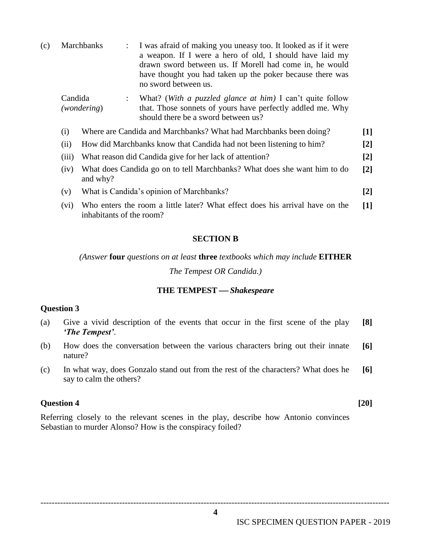| (c) |                                                       | Marchbanks<br>$\ddot{\phantom{a}}$                                                                       | I was afraid of making you uneasy too. It looked as if it were<br>a weapon. If I were a hero of old, I should have laid my<br>drawn sword between us. If Morell had come in, he would<br>have thought you had taken up the poker because there was<br>no sword between us. |  |  |  |  |  |
|-----|-------------------------------------------------------|----------------------------------------------------------------------------------------------------------|----------------------------------------------------------------------------------------------------------------------------------------------------------------------------------------------------------------------------------------------------------------------------|--|--|--|--|--|
|     | Candida<br>$\ddot{\phantom{a}}$<br><i>(wondering)</i> |                                                                                                          | What? (With a puzzled glance at him) I can't quite follow<br>that. Those sonnets of yours have perfectly addled me. Why<br>should there be a sword between us?                                                                                                             |  |  |  |  |  |
|     | (i)                                                   | Where are Candida and Marchbanks? What had Marchbanks been doing?                                        |                                                                                                                                                                                                                                                                            |  |  |  |  |  |
|     | (ii)                                                  | $\lceil 2 \rceil$<br>How did Marchbanks know that Candida had not been listening to him?                 |                                                                                                                                                                                                                                                                            |  |  |  |  |  |
|     | (iii)                                                 | What reason did Candida give for her lack of attention?<br>$\lceil 2 \rceil$                             |                                                                                                                                                                                                                                                                            |  |  |  |  |  |
|     | (iv)                                                  | What does Candida go on to tell Marchbanks? What does she want him to do<br>$[2]$<br>and why?            |                                                                                                                                                                                                                                                                            |  |  |  |  |  |
|     | (v)                                                   | What is Candida's opinion of Marchbanks?                                                                 |                                                                                                                                                                                                                                                                            |  |  |  |  |  |
|     | (vi)                                                  | Who enters the room a little later? What effect does his arrival have on the<br>inhabitants of the room? |                                                                                                                                                                                                                                                                            |  |  |  |  |  |

#### **SECTION B**

#### *(Answer* **four** *questions on at least* **three** *textbooks which may include* **EITHER**

*The Tempest OR Candida.)*

#### **THE TEMPEST** *Shakespeare*

#### **Question 3**

- (a) Give a vivid description of the events that occur in the first scene of the play *'The Tempest'*. **[8]**
- (b) How does the conversation between the various characters bring out their innate nature? **[6]**
- (c) In what way, does Gonzalo stand out from the rest of the characters? What does he say to calm the others? **[6]**

#### **Question 4 [20]**

Referring closely to the relevant scenes in the play, describe how Antonio convinces Sebastian to murder Alonso? How is the conspiracy foiled?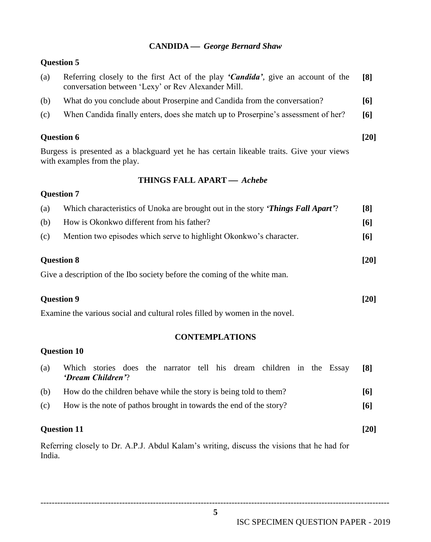## **CANDIDA** *George Bernard Shaw*

# **Question 5**

| (a) | Referring closely to the first Act of the play 'Candida', give an account of the<br>conversation between 'Lexy' or Rev Alexander Mill. | [8] |
|-----|----------------------------------------------------------------------------------------------------------------------------------------|-----|
| (b) | What do you conclude about Proserpine and Candida from the conversation?                                                               | [6] |
| (c) | When Candida finally enters, does she match up to Proserpine's assessment of her?                                                      | [6] |
|     |                                                                                                                                        |     |

# **Question 6 [20]**

Burgess is presented as a blackguard yet he has certain likeable traits. Give your views with examples from the play.

## **THINGS FALL APART** *Achebe*

# **Question 7**

| (a) | Which characteristics of Unoka are brought out in the story <i>Things Fall Apart</i> ? | $\lceil 8 \rceil$ |
|-----|----------------------------------------------------------------------------------------|-------------------|
| (b) | How is Okonkwo different from his father?                                              | [6]               |
| (c) | Mention two episodes which serve to highlight Okonkwo's character.                     | [6]               |
|     |                                                                                        |                   |

# **Question 8 [20]**

Give a description of the Ibo society before the coming of the white man.

# **Question 9 [20]**

Examine the various social and cultural roles filled by women in the novel.

# **CONTEMPLATIONS**

# **Question 10**

| (a) | Which stories does the narrator tell his dream children in the Essay<br>'Dream Children'? |  |  |  |  |  | [8] |
|-----|-------------------------------------------------------------------------------------------|--|--|--|--|--|-----|
| (b) | How do the children behave while the story is being told to them?                         |  |  |  |  |  | [6] |
| (c) | How is the note of pathos brought in towards the end of the story?                        |  |  |  |  |  | [6] |
|     |                                                                                           |  |  |  |  |  |     |

# **Question 11 [20]**

Referring closely to Dr. A.P.J. Abdul Kalam"s writing, discuss the visions that he had for India.